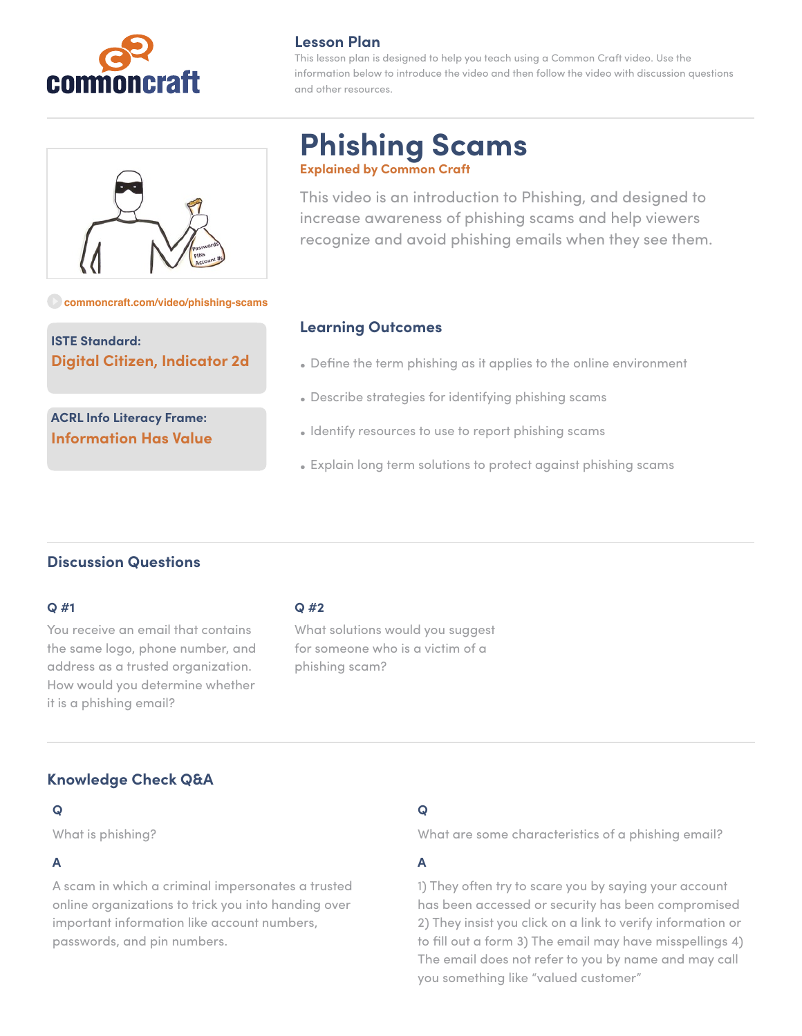

## **Lesson Plan**

This lesson plan is designed to help you teach using a Common Craft video. Use the information below to introduce the video and then follow the video with discussion questions and other resources.



**[commoncraft.com/video/phishing-scams](http://commoncraft.com/video/phishing-scams)**

**ISTE Standard: Digital Citizen, Indicator 2d**

**ACRL Info Literacy Frame: Information Has Value**

# **Phishing Scams Explained by Common Craft**

This video is an introduction to Phishing, and designed to increase awareness of phishing scams and help viewers recognize and avoid phishing emails when they see them.

# **Learning Outcomes**

- Define the term phishing as it applies to the online environment
- Describe strategies for identifying phishing scams
- Identify resources to use to report phishing scams
- Explain long term solutions to protect against phishing scams

# **Discussion Questions**

### **Q #1**

You receive an email that contains the same logo, phone number, and address as a trusted organization. How would you determine whether it is a phishing email?

## **Q #2**

What solutions would you suggest for someone who is a victim of a phishing scam?

# **Knowledge Check Q&A**

## **Q**

What is phishing?

## **A**

A scam in which a criminal impersonates a trusted online organizations to trick you into handing over important information like account numbers, passwords, and pin numbers.

# **Q**

What are some characteristics of a phishing email?

# **A**

1) They often try to scare you by saying your account has been accessed or security has been compromised 2) They insist you click on a link to verify information or to fill out a form 3) The email may have misspellings 4) The email does not refer to you by name and may call you something like "valued customer"